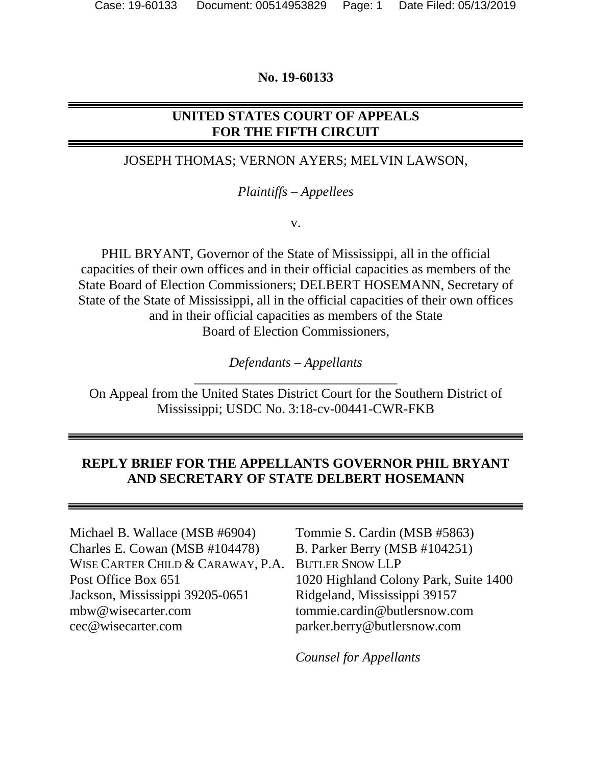#### **No. 19-60133**

# **UNITED STATES COURT OF APPEALS FOR THE FIFTH CIRCUIT**

### JOSEPH THOMAS; VERNON AYERS; MELVIN LAWSON,

#### *Plaintiffs – Appellees*

v.

PHIL BRYANT, Governor of the State of Mississippi, all in the official capacities of their own offices and in their official capacities as members of the State Board of Election Commissioners; DELBERT HOSEMANN, Secretary of State of the State of Mississippi, all in the official capacities of their own offices and in their official capacities as members of the State Board of Election Commissioners,

> *Defendants – Appellants*  \_\_\_\_\_\_\_\_\_\_\_\_\_\_\_\_\_\_\_\_\_\_\_\_\_\_\_\_\_\_

On Appeal from the United States District Court for the Southern District of Mississippi; USDC No. 3:18-cv-00441-CWR-FKB

### **REPLY BRIEF FOR THE APPELLANTS GOVERNOR PHIL BRYANT AND SECRETARY OF STATE DELBERT HOSEMANN**

Michael B. Wallace (MSB #6904) Charles E. Cowan (MSB #104478) WISE CARTER CHILD & CARAWAY, P.A. Post Office Box 651 Jackson, Mississippi 39205-0651 mbw@wisecarter.com cec@wisecarter.com

Tommie S. Cardin (MSB #5863) B. Parker Berry (MSB #104251) BUTLER SNOW LLP 1020 Highland Colony Park, Suite 1400 Ridgeland, Mississippi 39157 tommie.cardin@butlersnow.com parker.berry@butlersnow.com

*Counsel for Appellants*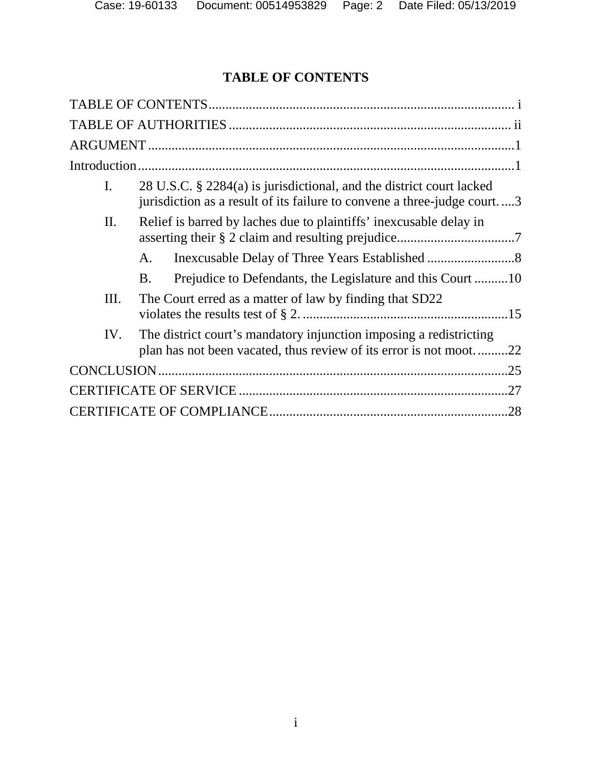# <span id="page-1-0"></span>**TABLE OF CONTENTS**

| I.  | 28 U.S.C. § 2284(a) is jurisdictional, and the district court lacked<br>jurisdiction as a result of its failure to convene a three-judge court3 |     |
|-----|-------------------------------------------------------------------------------------------------------------------------------------------------|-----|
| II. | Relief is barred by laches due to plaintiffs' inexcusable delay in                                                                              |     |
|     | $\mathsf{A}$ .                                                                                                                                  |     |
|     | Prejudice to Defendants, the Legislature and this Court 10<br>B.                                                                                |     |
| Ш.  | The Court erred as a matter of law by finding that SD22                                                                                         |     |
| IV. | The district court's mandatory injunction imposing a redistricting<br>plan has not been vacated, thus review of its error is not moot22         |     |
|     |                                                                                                                                                 | .25 |
|     |                                                                                                                                                 |     |
|     |                                                                                                                                                 | .28 |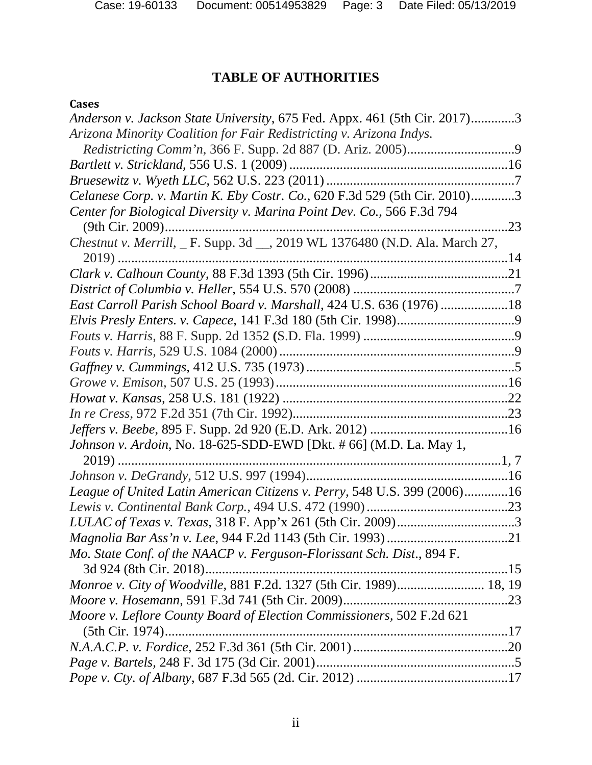# <span id="page-2-0"></span>**TABLE OF AUTHORITIES**

## **Cases**

| Anderson v. Jackson State University, 675 Fed. Appx. 461 (5th Cir. 2017)3   |  |
|-----------------------------------------------------------------------------|--|
| Arizona Minority Coalition for Fair Redistricting v. Arizona Indys.         |  |
|                                                                             |  |
|                                                                             |  |
|                                                                             |  |
| Celanese Corp. v. Martin K. Eby Costr. Co., 620 F.3d 529 (5th Cir. 2010)3   |  |
| Center for Biological Diversity v. Marina Point Dev. Co., 566 F.3d 794      |  |
|                                                                             |  |
| Chestnut v. Merrill, _ F. Supp. 3d __, 2019 WL 1376480 (N.D. Ala. March 27, |  |
| $2019)$                                                                     |  |
|                                                                             |  |
|                                                                             |  |
| East Carroll Parish School Board v. Marshall, 424 U.S. 636 (1976) 18        |  |
|                                                                             |  |
|                                                                             |  |
|                                                                             |  |
|                                                                             |  |
|                                                                             |  |
|                                                                             |  |
|                                                                             |  |
|                                                                             |  |
| Johnson v. Ardoin, No. 18-625-SDD-EWD [Dkt. # 66] (M.D. La. May 1,          |  |
| 2019)                                                                       |  |
|                                                                             |  |
| League of United Latin American Citizens v. Perry, 548 U.S. 399 (2006)16    |  |
|                                                                             |  |
|                                                                             |  |
|                                                                             |  |
| Mo. State Conf. of the NAACP v. Ferguson-Florissant Sch. Dist., 894 F.      |  |
|                                                                             |  |
| Monroe v. City of Woodville, 881 F.2d. 1327 (5th Cir. 1989) 18, 19          |  |
|                                                                             |  |
| Moore v. Leflore County Board of Election Commissioners, 502 F.2d 621       |  |
| (5th Cir. 1974)                                                             |  |
|                                                                             |  |
|                                                                             |  |
|                                                                             |  |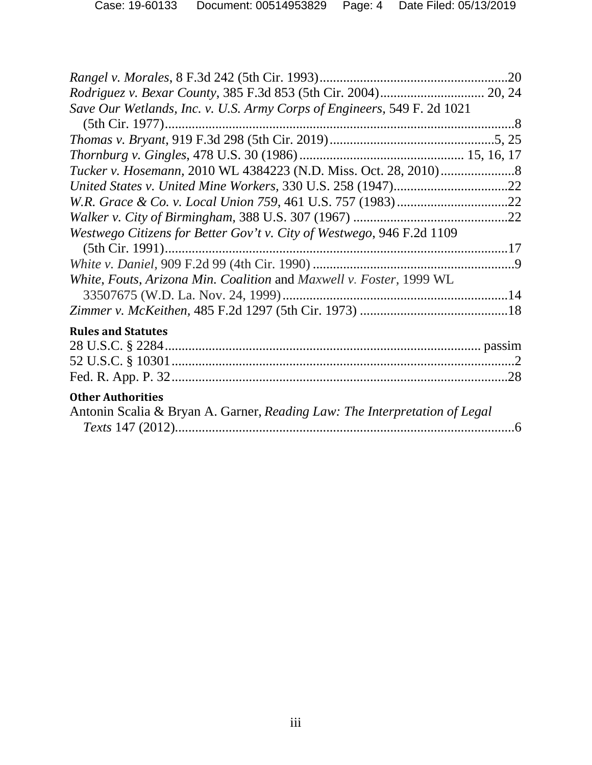| .20                                                                                                    |
|--------------------------------------------------------------------------------------------------------|
|                                                                                                        |
| Save Our Wetlands, Inc. v. U.S. Army Corps of Engineers, 549 F. 2d 1021                                |
|                                                                                                        |
|                                                                                                        |
|                                                                                                        |
|                                                                                                        |
|                                                                                                        |
|                                                                                                        |
| Westwego Citizens for Better Gov't v. City of Westwego, 946 F.2d 1109<br>(5th Cir. 1991)               |
|                                                                                                        |
| White, Fouts, Arizona Min. Coalition and Maxwell v. Foster, 1999 WL                                    |
|                                                                                                        |
|                                                                                                        |
| <b>Rules and Statutes</b>                                                                              |
|                                                                                                        |
|                                                                                                        |
|                                                                                                        |
| <b>Other Authorities</b><br>Antonin Scalia & Bryan A. Garner, Reading Law: The Interpretation of Legal |
|                                                                                                        |
|                                                                                                        |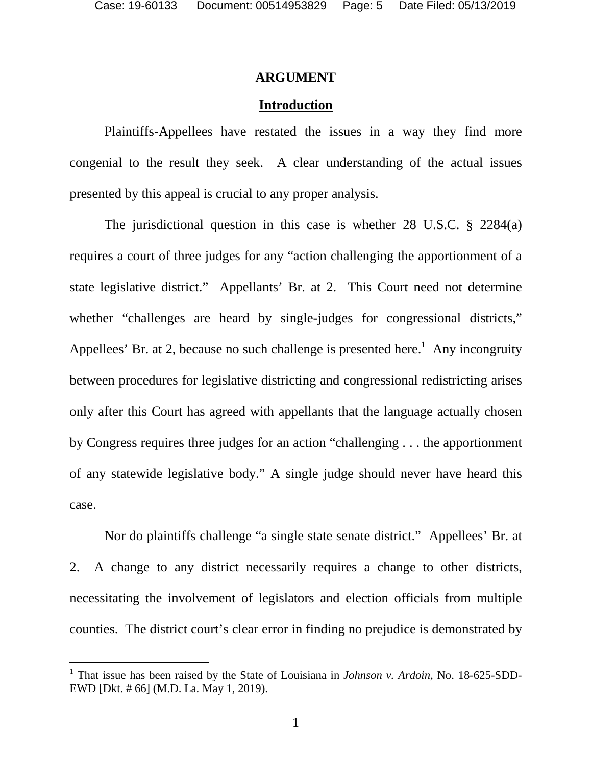### <span id="page-4-0"></span>**ARGUMENT**

### <span id="page-4-1"></span>**Introduction**

Plaintiffs-Appellees have restated the issues in a way they find more congenial to the result they seek. A clear understanding of the actual issues presented by this appeal is crucial to any proper analysis.

The jurisdictional question in this case is whether 28 U.S.C. § 2284(a) requires a court of three judges for any "action challenging the apportionment of a state legislative district." Appellants' Br. at 2. This Court need not determine whether "challenges are heard by single-judges for congressional districts," Appellees' Br. at 2, because no such challenge is presented here.<sup>[1](#page-4-2)</sup> Any incongruity between procedures for legislative districting and congressional redistricting arises only after this Court has agreed with appellants that the language actually chosen by Congress requires three judges for an action "challenging . . . the apportionment of any statewide legislative body." A single judge should never have heard this case.

Nor do plaintiffs challenge "a single state senate district." Appellees' Br. at 2. A change to any district necessarily requires a change to other districts, necessitating the involvement of legislators and election officials from multiple counties. The district court's clear error in finding no prejudice is demonstrated by

<span id="page-4-2"></span><sup>&</sup>lt;sup>1</sup> That issue has been raised by the State of Louisiana in *Johnson v. Ardoin*, No. 18-625-SDD-EWD [Dkt. # 66] (M.D. La. May 1, 2019).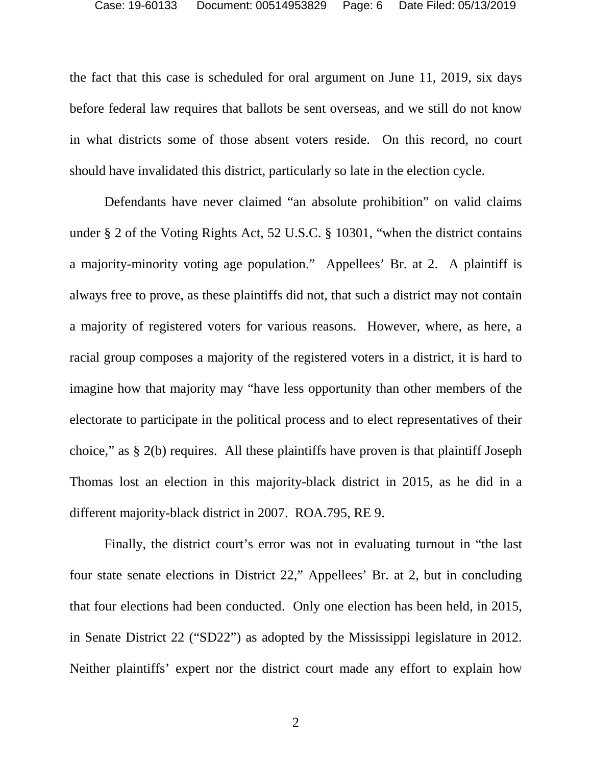the fact that this case is scheduled for oral argument on June 11, 2019, six days before federal law requires that ballots be sent overseas, and we still do not know in what districts some of those absent voters reside. On this record, no court should have invalidated this district, particularly so late in the election cycle.

Defendants have never claimed "an absolute prohibition" on valid claims under § 2 of the Voting Rights Act, 52 U.S.C. § 10301, "when the district contains a majority-minority voting age population." Appellees' Br. at 2. A plaintiff is always free to prove, as these plaintiffs did not, that such a district may not contain a majority of registered voters for various reasons. However, where, as here, a racial group composes a majority of the registered voters in a district, it is hard to imagine how that majority may "have less opportunity than other members of the electorate to participate in the political process and to elect representatives of their choice," as § 2(b) requires. All these plaintiffs have proven is that plaintiff Joseph Thomas lost an election in this majority-black district in 2015, as he did in a different majority-black district in 2007. ROA.795, RE 9.

Finally, the district court's error was not in evaluating turnout in "the last four state senate elections in District 22," Appellees' Br. at 2, but in concluding that four elections had been conducted. Only one election has been held, in 2015, in Senate District 22 ("SD22") as adopted by the Mississippi legislature in 2012. Neither plaintiffs' expert nor the district court made any effort to explain how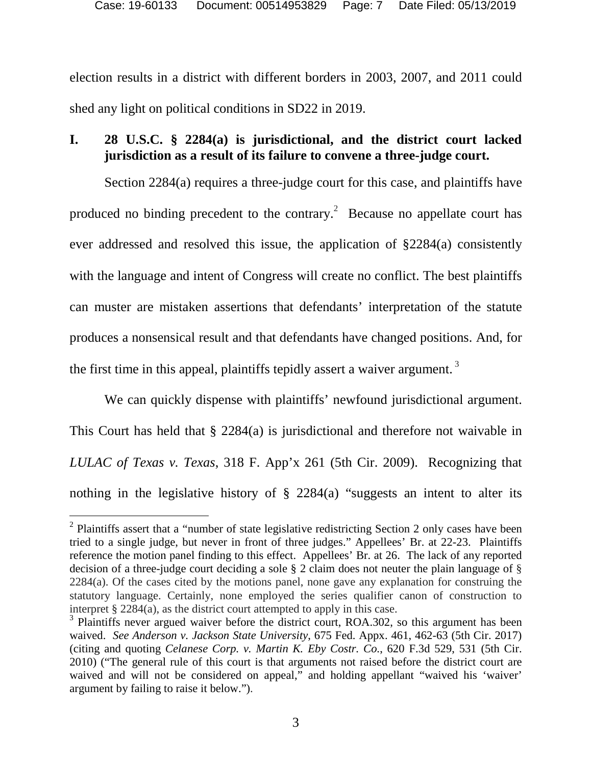election results in a district with different borders in 2003, 2007, and 2011 could shed any light on political conditions in SD22 in 2019.

# <span id="page-6-0"></span>**I. 28 U.S.C. § 2284(a) is jurisdictional, and the district court lacked jurisdiction as a result of its failure to convene a three-judge court.**

Section 2284(a) requires a three-judge court for this case, and plaintiffs have producedno binding precedent to the contrary.<sup>2</sup> Because no appellate court has ever addressed and resolved this issue, the application of §2284(a) consistently with the language and intent of Congress will create no conflict. The best plaintiffs can muster are mistaken assertions that defendants' interpretation of the statute produces a nonsensical result and that defendants have changed positions. And, for the first time in this appeal, plaintiffs tepidly assert a waiver argument.<sup>3</sup>

We can quickly dispense with plaintiffs' newfound jurisdictional argument. This Court has held that § 2284(a) is jurisdictional and therefore not waivable in *LULAC of Texas v. Texas*, 318 F. App'x 261 (5th Cir. 2009). Recognizing that nothing in the legislative history of  $\S$  2284(a) "suggests an intent to alter its

<span id="page-6-1"></span> $2$  Plaintiffs assert that a "number of state legislative redistricting Section 2 only cases have been tried to a single judge, but never in front of three judges." Appellees' Br. at 22-23. Plaintiffs reference the motion panel finding to this effect. Appellees' Br. at 26. The lack of any reported decision of a three-judge court deciding a sole § 2 claim does not neuter the plain language of § 2284(a). Of the cases cited by the motions panel, none gave any explanation for construing the statutory language. Certainly, none employed the series qualifier canon of construction to interpret § 2284(a), as the district court attempted to apply in this case.

<span id="page-6-2"></span><sup>&</sup>lt;sup>3</sup> Plaintiffs never argued waiver before the district court, ROA.302, so this argument has been waived. *See Anderson v. Jackson State University*, 675 Fed. Appx. 461, 462-63 (5th Cir. 2017) (citing and quoting *Celanese Corp. v. Martin K. Eby Costr. Co.*, 620 F.3d 529, 531 (5th Cir. 2010) ("The general rule of this court is that arguments not raised before the district court are waived and will not be considered on appeal," and holding appellant "waived his 'waiver' argument by failing to raise it below.").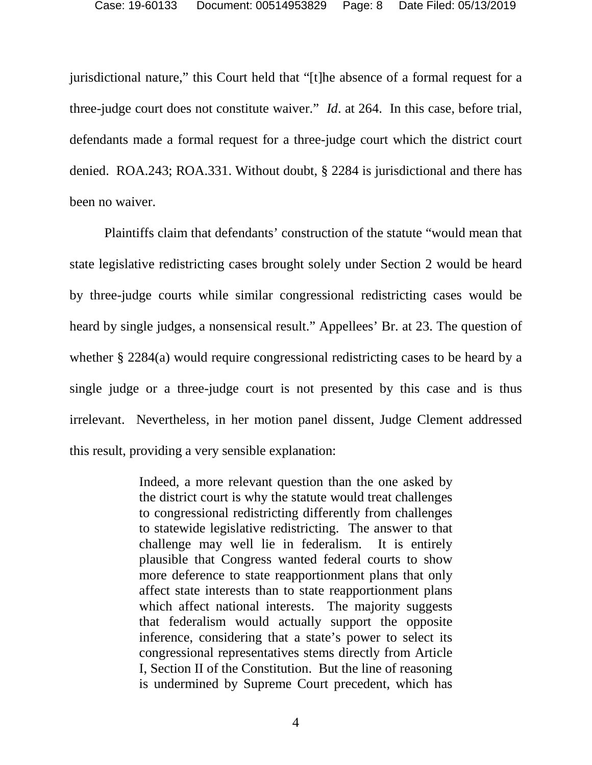jurisdictional nature," this Court held that "[t]he absence of a formal request for a three-judge court does not constitute waiver." *Id*. at 264. In this case, before trial, defendants made a formal request for a three-judge court which the district court denied. ROA.243; ROA.331. Without doubt, § 2284 is jurisdictional and there has been no waiver.

Plaintiffs claim that defendants' construction of the statute "would mean that state legislative redistricting cases brought solely under Section 2 would be heard by three-judge courts while similar congressional redistricting cases would be heard by single judges, a nonsensical result." Appellees' Br. at 23. The question of whether § 2284(a) would require congressional redistricting cases to be heard by a single judge or a three-judge court is not presented by this case and is thus irrelevant. Nevertheless, in her motion panel dissent, Judge Clement addressed this result, providing a very sensible explanation:

> Indeed, a more relevant question than the one asked by the district court is why the statute would treat challenges to congressional redistricting differently from challenges to statewide legislative redistricting. The answer to that challenge may well lie in federalism. It is entirely plausible that Congress wanted federal courts to show more deference to state reapportionment plans that only affect state interests than to state reapportionment plans which affect national interests. The majority suggests that federalism would actually support the opposite inference, considering that a state's power to select its congressional representatives stems directly from Article I, Section II of the Constitution. But the line of reasoning is undermined by Supreme Court precedent, which has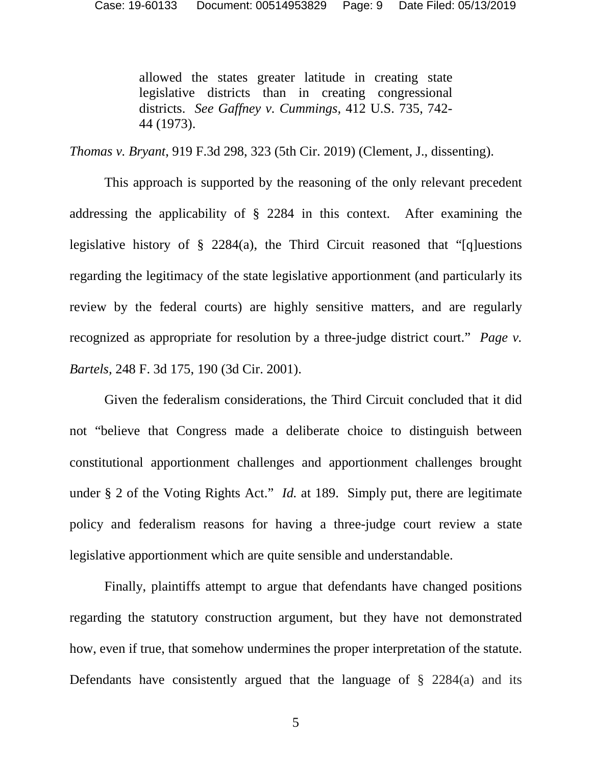allowed the states greater latitude in creating state legislative districts than in creating congressional districts. *See Gaffney v. Cummings,* 412 U.S. 735, 742- 44 (1973).

*Thomas v. Bryant*, 919 F.3d 298, 323 (5th Cir. 2019) (Clement, J., dissenting).

This approach is supported by the reasoning of the only relevant precedent addressing the applicability of § 2284 in this context. After examining the legislative history of § 2284(a), the Third Circuit reasoned that "[q]uestions regarding the legitimacy of the state legislative apportionment (and particularly its review by the federal courts) are highly sensitive matters, and are regularly recognized as appropriate for resolution by a three-judge district court." *Page v. Bartels,* 248 F. 3d 175, 190 (3d Cir. 2001).

Given the federalism considerations, the Third Circuit concluded that it did not "believe that Congress made a deliberate choice to distinguish between constitutional apportionment challenges and apportionment challenges brought under § 2 of the Voting Rights Act." *Id.* at 189. Simply put, there are legitimate policy and federalism reasons for having a three-judge court review a state legislative apportionment which are quite sensible and understandable.

Finally, plaintiffs attempt to argue that defendants have changed positions regarding the statutory construction argument, but they have not demonstrated how, even if true, that somehow undermines the proper interpretation of the statute. Defendants have consistently argued that the language of  $\S$  2284(a) and its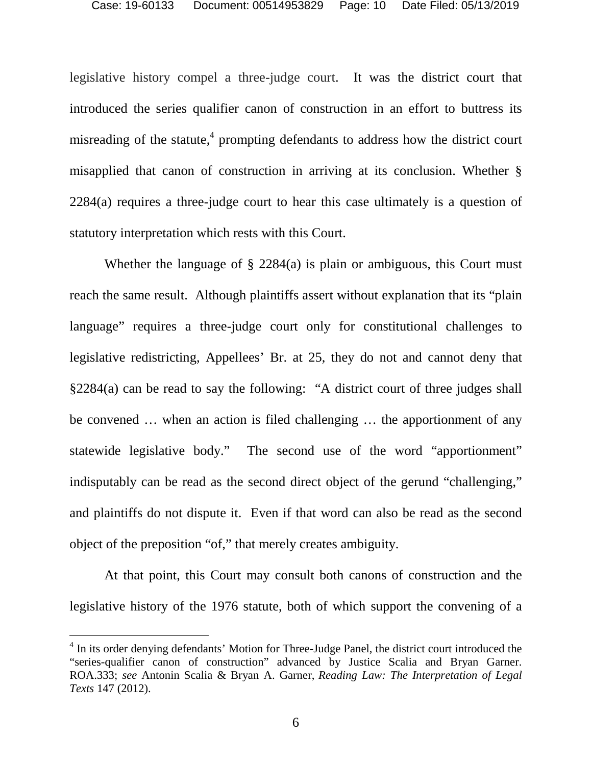legislative history compel a three-judge court. It was the district court that introduced the series qualifier canon of construction in an effort to buttress its misreading of the statute,<sup>[4](#page-9-0)</sup> prompting defendants to address how the district court misapplied that canon of construction in arriving at its conclusion. Whether § 2284(a) requires a three-judge court to hear this case ultimately is a question of statutory interpretation which rests with this Court.

Whether the language of § 2284(a) is plain or ambiguous, this Court must reach the same result. Although plaintiffs assert without explanation that its "plain language" requires a three-judge court only for constitutional challenges to legislative redistricting, Appellees' Br. at 25, they do not and cannot deny that §2284(a) can be read to say the following: "A district court of three judges shall be convened … when an action is filed challenging … the apportionment of any statewide legislative body." The second use of the word "apportionment" indisputably can be read as the second direct object of the gerund "challenging," and plaintiffs do not dispute it. Even if that word can also be read as the second object of the preposition "of," that merely creates ambiguity.

At that point, this Court may consult both canons of construction and the legislative history of the 1976 statute, both of which support the convening of a

<span id="page-9-0"></span><sup>&</sup>lt;sup>4</sup> In its order denying defendants' Motion for Three-Judge Panel, the district court introduced the "series-qualifier canon of construction" advanced by Justice Scalia and Bryan Garner. ROA.333; *see* Antonin Scalia & Bryan A. Garner, *Reading Law: The Interpretation of Legal Texts* 147 (2012).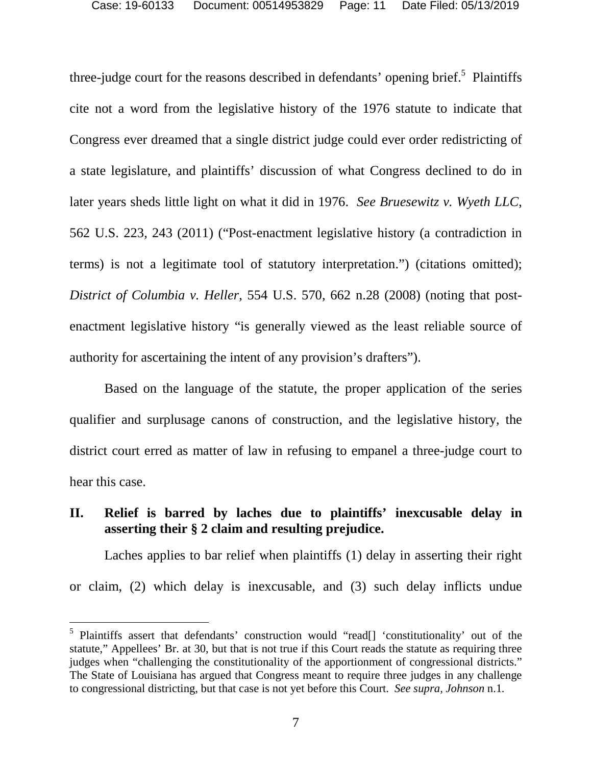three-judgecourt for the reasons described in defendants' opening brief.<sup>5</sup> Plaintiffs cite not a word from the legislative history of the 1976 statute to indicate that Congress ever dreamed that a single district judge could ever order redistricting of a state legislature, and plaintiffs' discussion of what Congress declined to do in later years sheds little light on what it did in 1976. *See Bruesewitz v. Wyeth LLC*, 562 U.S. 223, 243 (2011) ("Post-enactment legislative history (a contradiction in terms) is not a legitimate tool of statutory interpretation.") (citations omitted); *District of Columbia v. Heller*, 554 U.S. 570, 662 n.28 (2008) (noting that postenactment legislative history "is generally viewed as the least reliable source of authority for ascertaining the intent of any provision's drafters").

Based on the language of the statute, the proper application of the series qualifier and surplusage canons of construction, and the legislative history, the district court erred as matter of law in refusing to empanel a three-judge court to hear this case.

## <span id="page-10-0"></span>**II. Relief is barred by laches due to plaintiffs' inexcusable delay in asserting their § 2 claim and resulting prejudice.**

Laches applies to bar relief when plaintiffs (1) delay in asserting their right or claim, (2) which delay is inexcusable, and (3) such delay inflicts undue

<span id="page-10-1"></span><sup>&</sup>lt;sup>5</sup> Plaintiffs assert that defendants' construction would "read[] 'constitutionality' out of the statute," Appellees' Br. at 30, but that is not true if this Court reads the statute as requiring three judges when "challenging the constitutionality of the apportionment of congressional districts." The State of Louisiana has argued that Congress meant to require three judges in any challenge to congressional districting, but that case is not yet before this Court. *See supra, Johnson* n.1*.*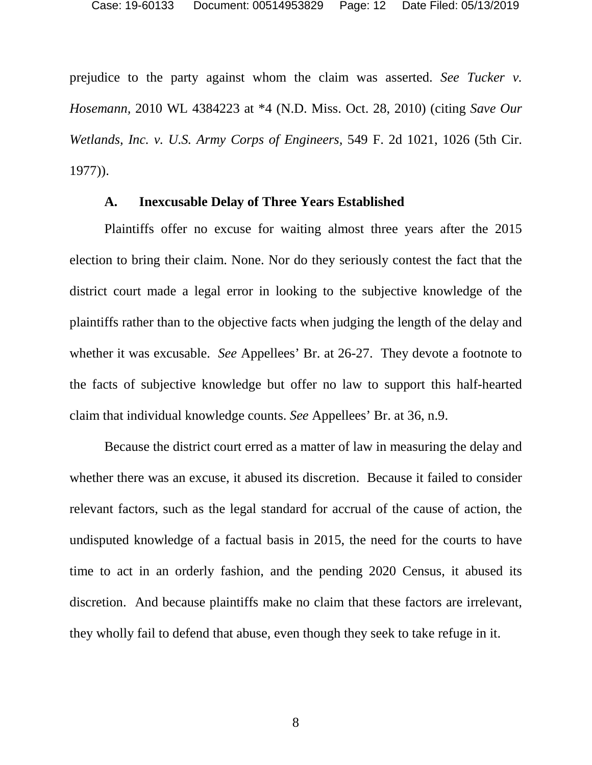prejudice to the party against whom the claim was asserted. *See Tucker v. Hosemann,* 2010 WL 4384223 at \*4 (N.D. Miss. Oct. 28, 2010) (citing *Save Our Wetlands, Inc. v. U.S. Army Corps of Engineers,* 549 F. 2d 1021, 1026 (5th Cir. 1977)).

#### <span id="page-11-0"></span>**A. Inexcusable Delay of Three Years Established**

Plaintiffs offer no excuse for waiting almost three years after the 2015 election to bring their claim. None. Nor do they seriously contest the fact that the district court made a legal error in looking to the subjective knowledge of the plaintiffs rather than to the objective facts when judging the length of the delay and whether it was excusable. *See* Appellees' Br. at 26-27. They devote a footnote to the facts of subjective knowledge but offer no law to support this half-hearted claim that individual knowledge counts. *See* Appellees' Br. at 36, n.9.

Because the district court erred as a matter of law in measuring the delay and whether there was an excuse, it abused its discretion. Because it failed to consider relevant factors, such as the legal standard for accrual of the cause of action, the undisputed knowledge of a factual basis in 2015, the need for the courts to have time to act in an orderly fashion, and the pending 2020 Census, it abused its discretion. And because plaintiffs make no claim that these factors are irrelevant, they wholly fail to defend that abuse, even though they seek to take refuge in it.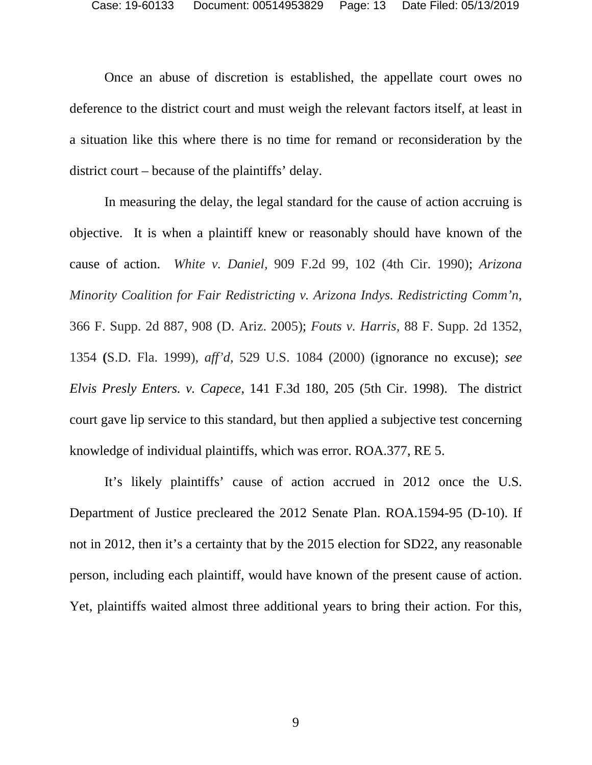Once an abuse of discretion is established, the appellate court owes no deference to the district court and must weigh the relevant factors itself, at least in a situation like this where there is no time for remand or reconsideration by the district court – because of the plaintiffs' delay.

In measuring the delay, the legal standard for the cause of action accruing is objective. It is when a plaintiff knew or reasonably should have known of the cause of action. *White v. Daniel,* 909 F.2d 99, 102 (4th Cir. 1990); *Arizona Minority Coalition for Fair Redistricting v. Arizona Indys. Redistricting Comm'n*, 366 F. Supp. 2d 887, 908 (D. Ariz. 2005); *Fouts v. Harris,* 88 F. Supp. 2d 1352, 1354 **(**S.D. Fla. 1999), *aff'd*, 529 U.S. 1084 (2000) (ignorance no excuse); *see Elvis Presly Enters. v. Capece*, 141 F.3d 180, 205 (5th Cir. 1998). The district court gave lip service to this standard, but then applied a subjective test concerning knowledge of individual plaintiffs, which was error. ROA.377, RE 5.

It's likely plaintiffs' cause of action accrued in 2012 once the U.S. Department of Justice precleared the 2012 Senate Plan. ROA.1594-95 (D-10). If not in 2012, then it's a certainty that by the 2015 election for SD22, any reasonable person, including each plaintiff, would have known of the present cause of action. Yet, plaintiffs waited almost three additional years to bring their action. For this,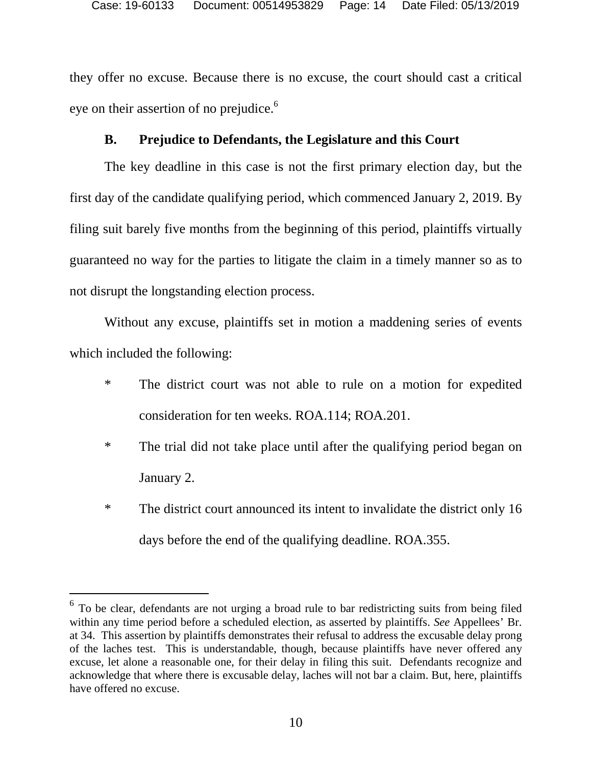they offer no excuse. Because there is no excuse, the court should cast a critical eye on their assertion of no prejudice.<sup>[6](#page-13-1)</sup>

### <span id="page-13-0"></span>**B. Prejudice to Defendants, the Legislature and this Court**

The key deadline in this case is not the first primary election day, but the first day of the candidate qualifying period, which commenced January 2, 2019. By filing suit barely five months from the beginning of this period, plaintiffs virtually guaranteed no way for the parties to litigate the claim in a timely manner so as to not disrupt the longstanding election process.

Without any excuse, plaintiffs set in motion a maddening series of events which included the following:

- \* The district court was not able to rule on a motion for expedited consideration for ten weeks. ROA.114; ROA.201.
- \* The trial did not take place until after the qualifying period began on January 2.
- \* The district court announced its intent to invalidate the district only 16 days before the end of the qualifying deadline. ROA.355.

<span id="page-13-1"></span> $6$  To be clear, defendants are not urging a broad rule to bar redistricting suits from being filed within any time period before a scheduled election, as asserted by plaintiffs. *See* Appellees' Br. at 34. This assertion by plaintiffs demonstrates their refusal to address the excusable delay prong of the laches test. This is understandable, though, because plaintiffs have never offered any excuse, let alone a reasonable one, for their delay in filing this suit. Defendants recognize and acknowledge that where there is excusable delay, laches will not bar a claim. But, here, plaintiffs have offered no excuse.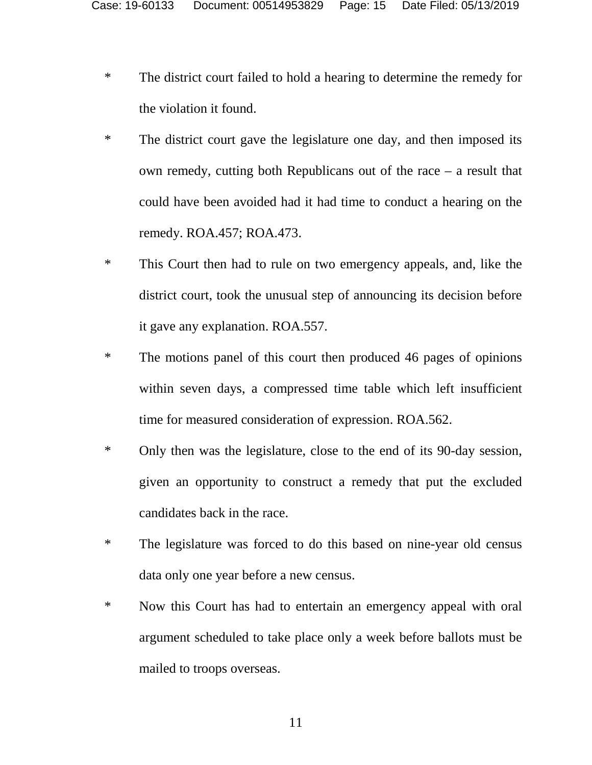- \* The district court failed to hold a hearing to determine the remedy for the violation it found.
- \* The district court gave the legislature one day, and then imposed its own remedy, cutting both Republicans out of the race – a result that could have been avoided had it had time to conduct a hearing on the remedy. ROA.457; ROA.473.
- \* This Court then had to rule on two emergency appeals, and, like the district court, took the unusual step of announcing its decision before it gave any explanation. ROA.557.
- \* The motions panel of this court then produced 46 pages of opinions within seven days, a compressed time table which left insufficient time for measured consideration of expression. ROA.562.
- \* Only then was the legislature, close to the end of its 90-day session, given an opportunity to construct a remedy that put the excluded candidates back in the race.
- \* The legislature was forced to do this based on nine-year old census data only one year before a new census.
- \* Now this Court has had to entertain an emergency appeal with oral argument scheduled to take place only a week before ballots must be mailed to troops overseas.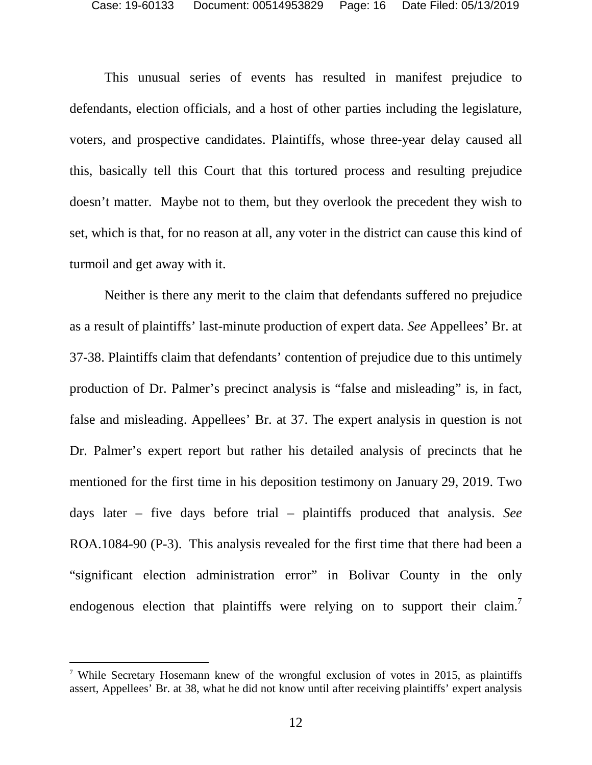This unusual series of events has resulted in manifest prejudice to defendants, election officials, and a host of other parties including the legislature, voters, and prospective candidates. Plaintiffs, whose three-year delay caused all this, basically tell this Court that this tortured process and resulting prejudice doesn't matter. Maybe not to them, but they overlook the precedent they wish to set, which is that, for no reason at all, any voter in the district can cause this kind of turmoil and get away with it.

Neither is there any merit to the claim that defendants suffered no prejudice as a result of plaintiffs' last-minute production of expert data. *See* Appellees' Br. at 37-38. Plaintiffs claim that defendants' contention of prejudice due to this untimely production of Dr. Palmer's precinct analysis is "false and misleading" is, in fact, false and misleading. Appellees' Br. at 37. The expert analysis in question is not Dr. Palmer's expert report but rather his detailed analysis of precincts that he mentioned for the first time in his deposition testimony on January 29, 2019. Two days later – five days before trial – plaintiffs produced that analysis. *See* ROA.1084-90 (P-3). This analysis revealed for the first time that there had been a "significant election administration error" in Bolivar County in the only endogenous election that plaintiffs were relying on to support their claim.<sup>[7](#page-15-0)</sup>

<span id="page-15-0"></span><sup>7</sup> While Secretary Hosemann knew of the wrongful exclusion of votes in 2015, as plaintiffs assert, Appellees' Br. at 38, what he did not know until after receiving plaintiffs' expert analysis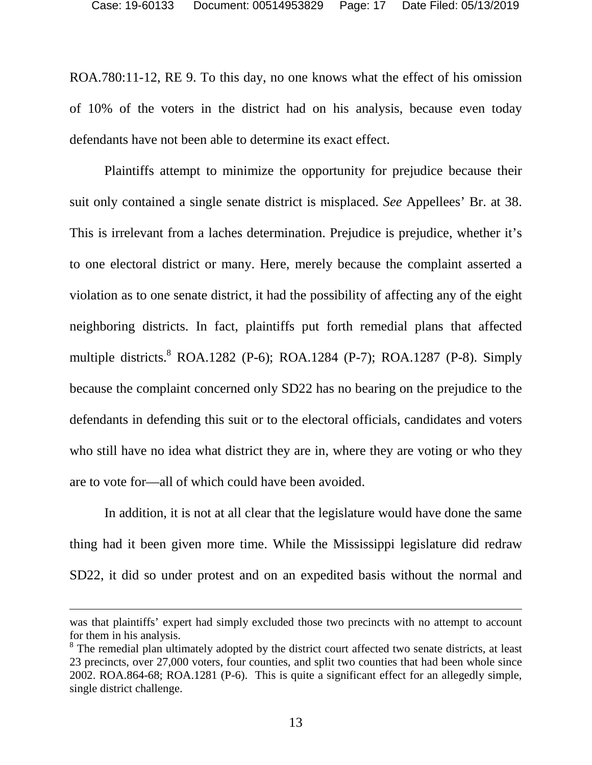ROA.780:11-12, RE 9. To this day, no one knows what the effect of his omission of 10% of the voters in the district had on his analysis, because even today defendants have not been able to determine its exact effect.

Plaintiffs attempt to minimize the opportunity for prejudice because their suit only contained a single senate district is misplaced. *See* Appellees' Br. at 38. This is irrelevant from a laches determination. Prejudice is prejudice, whether it's to one electoral district or many. Here, merely because the complaint asserted a violation as to one senate district, it had the possibility of affecting any of the eight neighboring districts. In fact, plaintiffs put forth remedial plans that affected multiple districts[.](#page-16-0) ROA.1282 (P-6); ROA.1284 (P-7); ROA.1287 (P-8). Simply because the complaint concerned only SD22 has no bearing on the prejudice to the defendants in defending this suit or to the electoral officials, candidates and voters who still have no idea what district they are in, where they are voting or who they are to vote for—all of which could have been avoided.

In addition, it is not at all clear that the legislature would have done the same thing had it been given more time. While the Mississippi legislature did redraw SD22, it did so under protest and on an expedited basis without the normal and

was that plaintiffs' expert had simply excluded those two precincts with no attempt to account for them in his analysis.

<span id="page-16-0"></span><sup>&</sup>lt;sup>8</sup> The remedial plan ultimately adopted by the district court affected two senate districts, at least 23 precincts, over 27,000 voters, four counties, and split two counties that had been whole since 2002. ROA.864-68; ROA.1281 (P-6). This is quite a significant effect for an allegedly simple, single district challenge.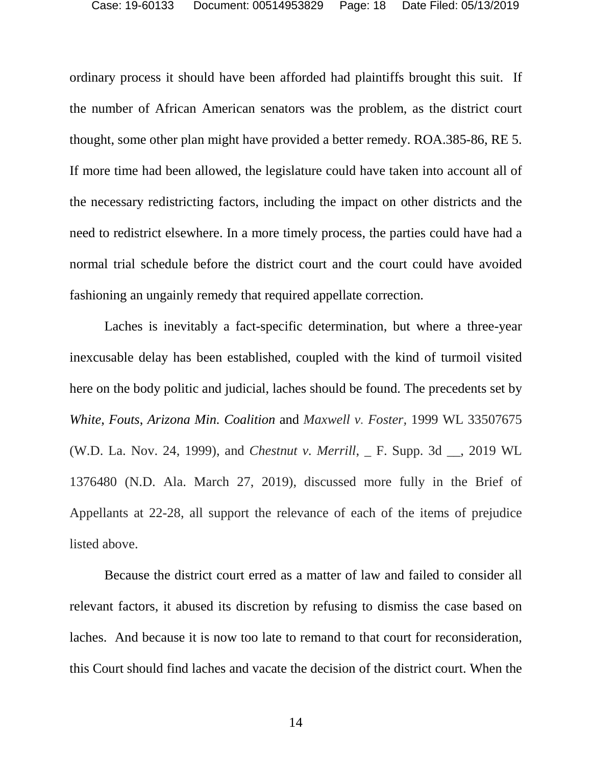ordinary process it should have been afforded had plaintiffs brought this suit. If the number of African American senators was the problem, as the district court thought, some other plan might have provided a better remedy. ROA.385-86, RE 5. If more time had been allowed, the legislature could have taken into account all of the necessary redistricting factors, including the impact on other districts and the need to redistrict elsewhere. In a more timely process, the parties could have had a normal trial schedule before the district court and the court could have avoided fashioning an ungainly remedy that required appellate correction.

Laches is inevitably a fact-specific determination, but where a three-year inexcusable delay has been established, coupled with the kind of turmoil visited here on the body politic and judicial, laches should be found. The precedents set by *White*, *Fouts*, *Arizona Min. Coalition* and *Maxwell v. Foster,* 1999 WL 33507675 (W.D. La. Nov. 24, 1999), and *Chestnut v. Merrill*, \_ F. Supp. 3d \_\_, 2019 WL 1376480 (N.D. Ala. March 27, 2019), discussed more fully in the Brief of Appellants at 22-28, all support the relevance of each of the items of prejudice listed above.

Because the district court erred as a matter of law and failed to consider all relevant factors, it abused its discretion by refusing to dismiss the case based on laches. And because it is now too late to remand to that court for reconsideration, this Court should find laches and vacate the decision of the district court. When the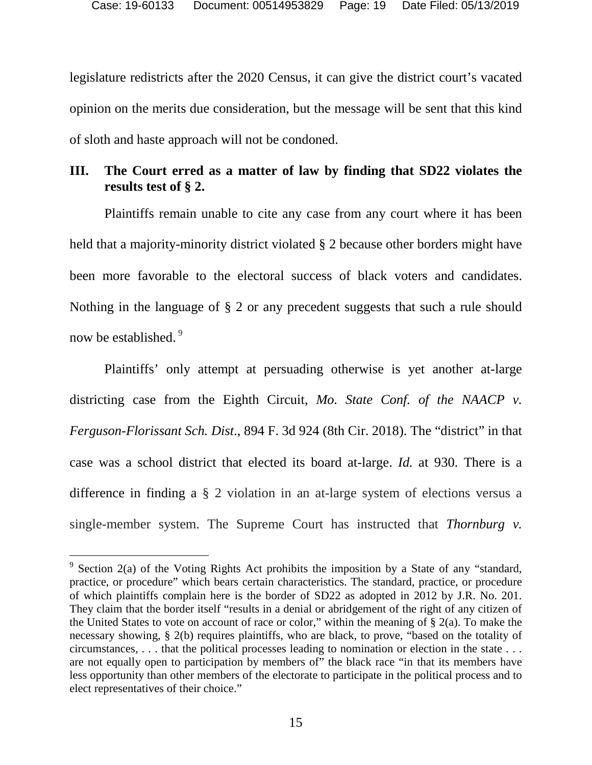legislature redistricts after the 2020 Census, it can give the district court's vacated opinion on the merits due consideration, but the message will be sent that this kind of sloth and haste approach will not be condoned.

# <span id="page-18-0"></span>**III. The Court erred as a matter of law by finding that SD22 violates the results test of § 2.**

Plaintiffs remain unable to cite any case from any court where it has been held that a majority-minority district violated § 2 because other borders might have been more favorable to the electoral success of black voters and candidates. Nothing in the language of § 2 or any precedent suggests that such a rule should now be established.<sup>9</sup>

Plaintiffs' only attempt at persuading otherwise is yet another at-large districting case from the Eighth Circuit, *Mo. State Conf. of the NAACP v. Ferguson-Florissant Sch. Dist*., 894 F. 3d 924 (8th Cir. 2018). The "district" in that case was a school district that elected its board at-large. *Id.* at 930. There is a difference in finding a § 2 violation in an at-large system of elections versus a single-member system. The Supreme Court has instructed that *Thornburg v.* 

<span id="page-18-1"></span><sup>&</sup>lt;sup>9</sup> Section 2(a) of the Voting Rights Act prohibits the imposition by a State of any "standard, practice, or procedure" which bears certain characteristics. The standard, practice, or procedure of which plaintiffs complain here is the border of SD22 as adopted in 2012 by J.R. No. 201. They claim that the border itself "results in a denial or abridgement of the right of any citizen of the United States to vote on account of race or color," within the meaning of  $\S$  2(a). To make the necessary showing, § 2(b) requires plaintiffs, who are black, to prove, "based on the totality of circumstances, . . . that the political processes leading to nomination or election in the state . . . are not equally open to participation by members of" the black race "in that its members have less opportunity than other members of the electorate to participate in the political process and to elect representatives of their choice."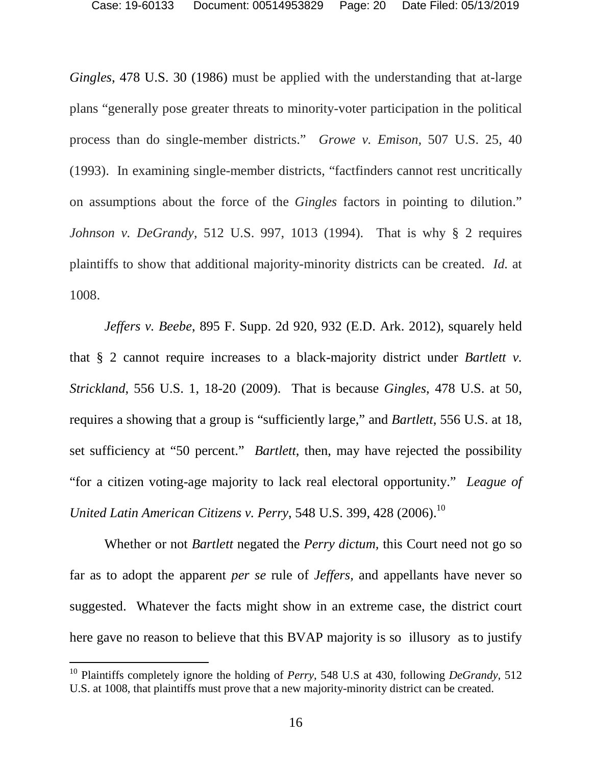*Gingles*, 478 U.S. 30 (1986) must be applied with the understanding that at-large plans "generally pose greater threats to minority-voter participation in the political process than do single-member districts." *Growe v. Emison,* 507 U.S. 25, 40 (1993). In examining single-member districts, "factfinders cannot rest uncritically on assumptions about the force of the *Gingles* factors in pointing to dilution." *Johnson v. DeGrandy*, 512 U.S. 997, 1013 (1994). That is why § 2 requires plaintiffs to show that additional majority-minority districts can be created. *Id.* at 1008.

*Jeffers v. Beebe*, 895 F. Supp. 2d 920, 932 (E.D. Ark. 2012), squarely held that § 2 cannot require increases to a black-majority district under *Bartlett v. Strickland*, 556 U.S. 1, 18-20 (2009). That is because *Gingles*, 478 U.S. at 50, requires a showing that a group is "sufficiently large," and *Bartlett*, 556 U.S. at 18, set sufficiency at "50 percent." *Bartlett*, then, may have rejected the possibility "for a citizen voting-age majority to lack real electoral opportunity." *League of United Latin American Citizens v. Perry*, 548 U.S. 399, 428 (2006).<sup>[10](#page-19-0)</sup>

Whether or not *Bartlett* negated the *Perry dictum,* this Court need not go so far as to adopt the apparent *per se* rule of *Jeffers,* and appellants have never so suggested. Whatever the facts might show in an extreme case, the district court here gave no reason to believe that this BVAP majority is so illusory as to justify

<span id="page-19-0"></span><sup>10</sup> Plaintiffs completely ignore the holding of *Perry*, 548 U.S at 430, following *DeGrandy,* 512 U.S. at 1008, that plaintiffs must prove that a new majority-minority district can be created.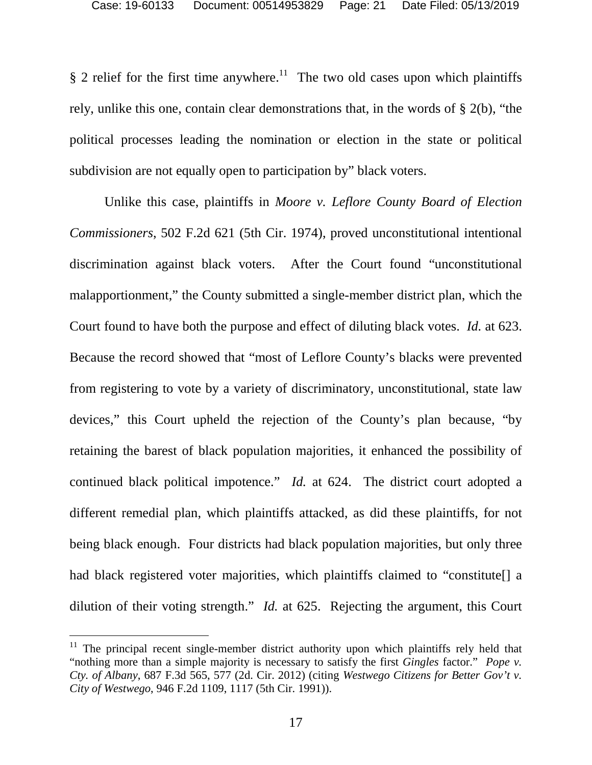§ 2 relief for the first time anywhere.<sup>[11](#page-20-0)</sup> The two old cases upon which plaintiffs rely, unlike this one, contain clear demonstrations that, in the words of § 2(b), "the political processes leading the nomination or election in the state or political subdivision are not equally open to participation by" black voters.

Unlike this case, plaintiffs in *Moore v. Leflore County Board of Election Commissioners*, 502 F.2d 621 (5th Cir. 1974), proved unconstitutional intentional discrimination against black voters. After the Court found "unconstitutional malapportionment," the County submitted a single-member district plan, which the Court found to have both the purpose and effect of diluting black votes. *Id.* at 623. Because the record showed that "most of Leflore County's blacks were prevented from registering to vote by a variety of discriminatory, unconstitutional, state law devices," this Court upheld the rejection of the County's plan because, "by retaining the barest of black population majorities, it enhanced the possibility of continued black political impotence." *Id.* at 624. The district court adopted a different remedial plan, which plaintiffs attacked, as did these plaintiffs, for not being black enough. Four districts had black population majorities, but only three had black registered voter majorities, which plaintiffs claimed to "constitute. dilution of their voting strength." *Id.* at 625. Rejecting the argument, this Court

<span id="page-20-0"></span> $11$  The principal recent single-member district authority upon which plaintiffs rely held that "nothing more than a simple majority is necessary to satisfy the first *Gingles* factor." *Pope v. Cty. of Albany*, 687 F.3d 565, 577 (2d. Cir. 2012) (citing *Westwego Citizens for Better Gov't v. City of Westwego*, 946 F.2d 1109, 1117 (5th Cir. 1991)).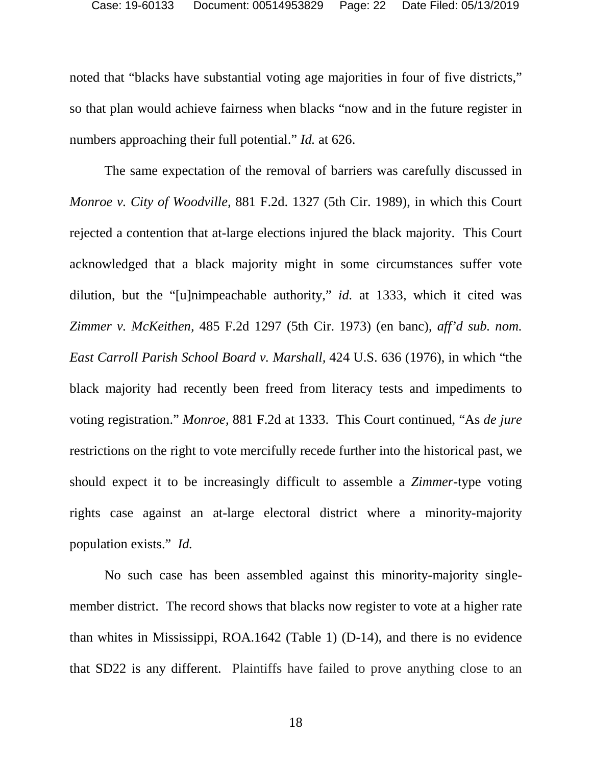noted that "blacks have substantial voting age majorities in four of five districts," so that plan would achieve fairness when blacks "now and in the future register in numbers approaching their full potential." *Id.* at 626.

The same expectation of the removal of barriers was carefully discussed in *Monroe v. City of Woodville,* 881 F.2d. 1327 (5th Cir. 1989), in which this Court rejected a contention that at-large elections injured the black majority. This Court acknowledged that a black majority might in some circumstances suffer vote dilution, but the "[u]nimpeachable authority," *id.* at 1333, which it cited was *Zimmer v. McKeithen,* 485 F.2d 1297 (5th Cir. 1973) (en banc), *aff'd sub. nom. East Carroll Parish School Board v. Marshall,* 424 U.S. 636 (1976), in which "the black majority had recently been freed from literacy tests and impediments to voting registration." *Monroe,* 881 F.2d at 1333. This Court continued, "As *de jure* restrictions on the right to vote mercifully recede further into the historical past, we should expect it to be increasingly difficult to assemble a *Zimmer*-type voting rights case against an at-large electoral district where a minority-majority population exists." *Id.* 

No such case has been assembled against this minority-majority singlemember district. The record shows that blacks now register to vote at a higher rate than whites in Mississippi, ROA.1642 (Table 1) (D-14), and there is no evidence that SD22 is any different. Plaintiffs have failed to prove anything close to an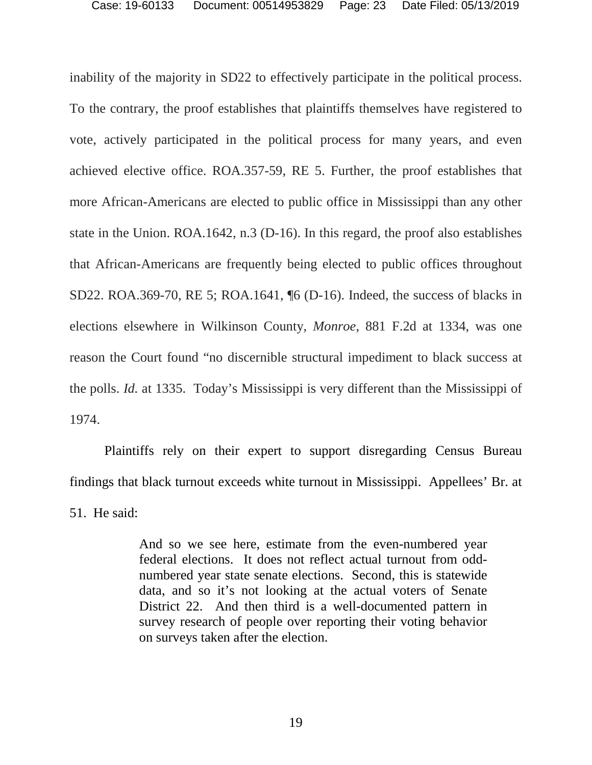inability of the majority in SD22 to effectively participate in the political process. To the contrary, the proof establishes that plaintiffs themselves have registered to vote, actively participated in the political process for many years, and even achieved elective office. ROA.357-59, RE 5. Further, the proof establishes that more African-Americans are elected to public office in Mississippi than any other state in the Union. ROA.1642, n.3 (D-16). In this regard, the proof also establishes that African-Americans are frequently being elected to public offices throughout SD22. ROA.369-70, RE 5; ROA.1641, ¶6 (D-16). Indeed, the success of blacks in elections elsewhere in Wilkinson County, *Monroe*, 881 F.2d at 1334, was one reason the Court found "no discernible structural impediment to black success at the polls. *Id.* at 1335. Today's Mississippi is very different than the Mississippi of 1974.

Plaintiffs rely on their expert to support disregarding Census Bureau findings that black turnout exceeds white turnout in Mississippi. Appellees' Br. at 51. He said:

> And so we see here, estimate from the even-numbered year federal elections. It does not reflect actual turnout from oddnumbered year state senate elections. Second, this is statewide data, and so it's not looking at the actual voters of Senate District 22. And then third is a well-documented pattern in survey research of people over reporting their voting behavior on surveys taken after the election.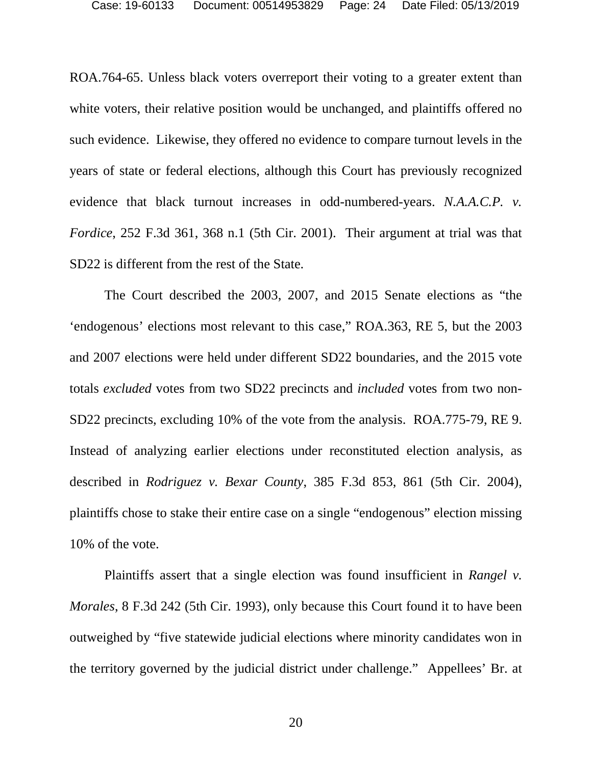ROA.764-65. Unless black voters overreport their voting to a greater extent than white voters, their relative position would be unchanged, and plaintiffs offered no such evidence. Likewise, they offered no evidence to compare turnout levels in the years of state or federal elections, although this Court has previously recognized evidence that black turnout increases in odd-numbered-years. *N.A.A.C.P. v. Fordice*, 252 F.3d 361, 368 n.1 (5th Cir. 2001). Their argument at trial was that SD22 is different from the rest of the State.

The Court described the 2003, 2007, and 2015 Senate elections as "the 'endogenous' elections most relevant to this case," ROA.363, RE 5, but the 2003 and 2007 elections were held under different SD22 boundaries, and the 2015 vote totals *excluded* votes from two SD22 precincts and *included* votes from two non-SD22 precincts, excluding 10% of the vote from the analysis. ROA.775-79, RE 9. Instead of analyzing earlier elections under reconstituted election analysis, as described in *Rodriguez v. Bexar County*, 385 F.3d 853, 861 (5th Cir. 2004), plaintiffs chose to stake their entire case on a single "endogenous" election missing 10% of the vote.

Plaintiffs assert that a single election was found insufficient in *Rangel v. Morales*, 8 F.3d 242 (5th Cir. 1993), only because this Court found it to have been outweighed by "five statewide judicial elections where minority candidates won in the territory governed by the judicial district under challenge." Appellees' Br. at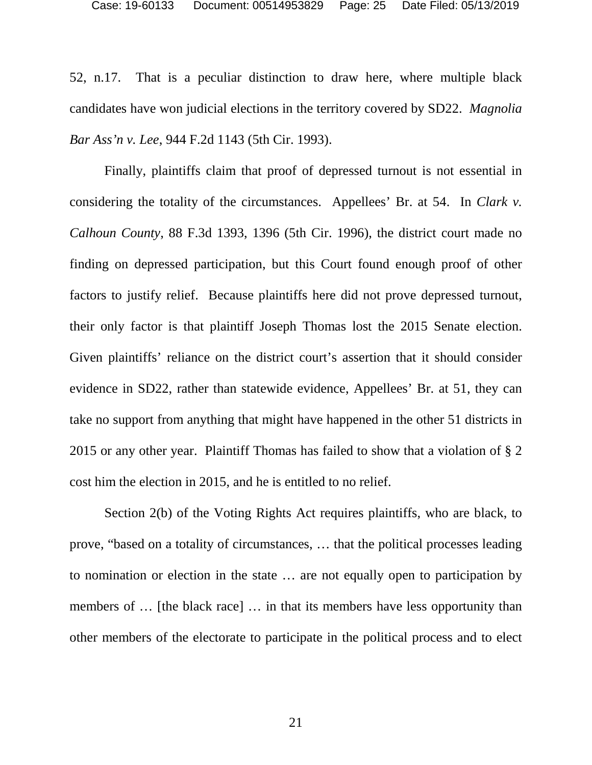52, n.17. That is a peculiar distinction to draw here, where multiple black candidates have won judicial elections in the territory covered by SD22. *Magnolia Bar Ass'n v. Lee*, 944 F.2d 1143 (5th Cir. 1993).

Finally, plaintiffs claim that proof of depressed turnout is not essential in considering the totality of the circumstances. Appellees' Br. at 54. In *Clark v. Calhoun County*, 88 F.3d 1393, 1396 (5th Cir. 1996), the district court made no finding on depressed participation, but this Court found enough proof of other factors to justify relief. Because plaintiffs here did not prove depressed turnout, their only factor is that plaintiff Joseph Thomas lost the 2015 Senate election. Given plaintiffs' reliance on the district court's assertion that it should consider evidence in SD22, rather than statewide evidence, Appellees' Br. at 51, they can take no support from anything that might have happened in the other 51 districts in 2015 or any other year. Plaintiff Thomas has failed to show that a violation of § 2 cost him the election in 2015, and he is entitled to no relief.

Section 2(b) of the Voting Rights Act requires plaintiffs, who are black, to prove, "based on a totality of circumstances, … that the political processes leading to nomination or election in the state … are not equally open to participation by members of ... [the black race] ... in that its members have less opportunity than other members of the electorate to participate in the political process and to elect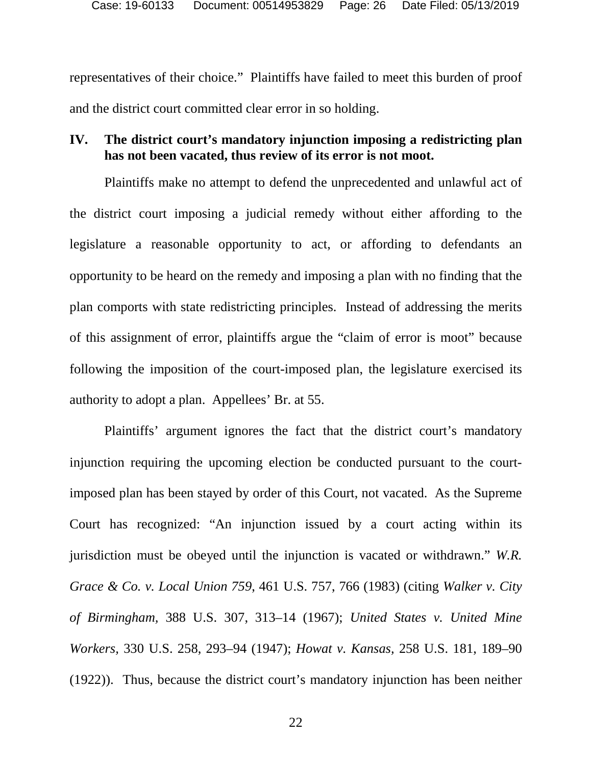representatives of their choice." Plaintiffs have failed to meet this burden of proof and the district court committed clear error in so holding.

## <span id="page-25-0"></span>**IV. The district court's mandatory injunction imposing a redistricting plan has not been vacated, thus review of its error is not moot.**

Plaintiffs make no attempt to defend the unprecedented and unlawful act of the district court imposing a judicial remedy without either affording to the legislature a reasonable opportunity to act, or affording to defendants an opportunity to be heard on the remedy and imposing a plan with no finding that the plan comports with state redistricting principles. Instead of addressing the merits of this assignment of error, plaintiffs argue the "claim of error is moot" because following the imposition of the court-imposed plan, the legislature exercised its authority to adopt a plan. Appellees' Br. at 55.

Plaintiffs' argument ignores the fact that the district court's mandatory injunction requiring the upcoming election be conducted pursuant to the courtimposed plan has been stayed by order of this Court, not vacated. As the Supreme Court has recognized: "An injunction issued by a court acting within its jurisdiction must be obeyed until the injunction is vacated or withdrawn." *W.R. Grace & Co. v. Local Union 759*, 461 U.S. 757, 766 (1983) (citing *Walker v. City of Birmingham,* 388 U.S. 307, 313–14 (1967); *United States v. United Mine Workers,* 330 U.S. 258, 293–94 (1947); *Howat v. Kansas,* 258 U.S. 181, 189–90 (1922)). Thus, because the district court's mandatory injunction has been neither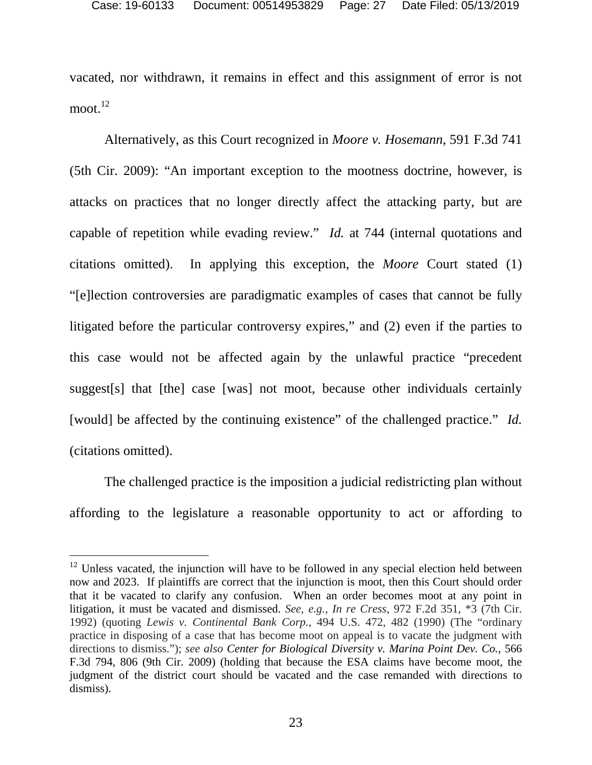vacated, nor withdrawn, it remains in effect and this assignment of error is not moot. $^{12}$  $^{12}$  $^{12}$ 

Alternatively, as this Court recognized in *Moore v. Hosemann*, 591 F.3d 741 (5th Cir. 2009): "An important exception to the mootness doctrine, however, is attacks on practices that no longer directly affect the attacking party, but are capable of repetition while evading review." *Id.* at 744 (internal quotations and citations omitted). In applying this exception, the *Moore* Court stated (1) "[e]lection controversies are paradigmatic examples of cases that cannot be fully litigated before the particular controversy expires," and (2) even if the parties to this case would not be affected again by the unlawful practice "precedent suggest[s] that [the] case [was] not moot, because other individuals certainly [would] be affected by the continuing existence" of the challenged practice." *Id.* (citations omitted).

The challenged practice is the imposition a judicial redistricting plan without affording to the legislature a reasonable opportunity to act or affording to

<span id="page-26-0"></span> $12$  Unless vacated, the injunction will have to be followed in any special election held between now and 2023. If plaintiffs are correct that the injunction is moot, then this Court should order that it be vacated to clarify any confusion. When an order becomes moot at any point in litigation, it must be vacated and dismissed. *See, e.g., In re Cress*, 972 F.2d 351, \*3 (7th Cir. 1992) (quoting *Lewis v. Continental Bank Corp.*, 494 U.S. 472, 482 (1990) (The "ordinary practice in disposing of a case that has become moot on appeal is to vacate the judgment with directions to dismiss."); *see also Center for Biological Diversity v. Marina Point Dev. Co.*, 566 F.3d 794, 806 (9th Cir. 2009) (holding that because the ESA claims have become moot, the judgment of the district court should be vacated and the case remanded with directions to dismiss).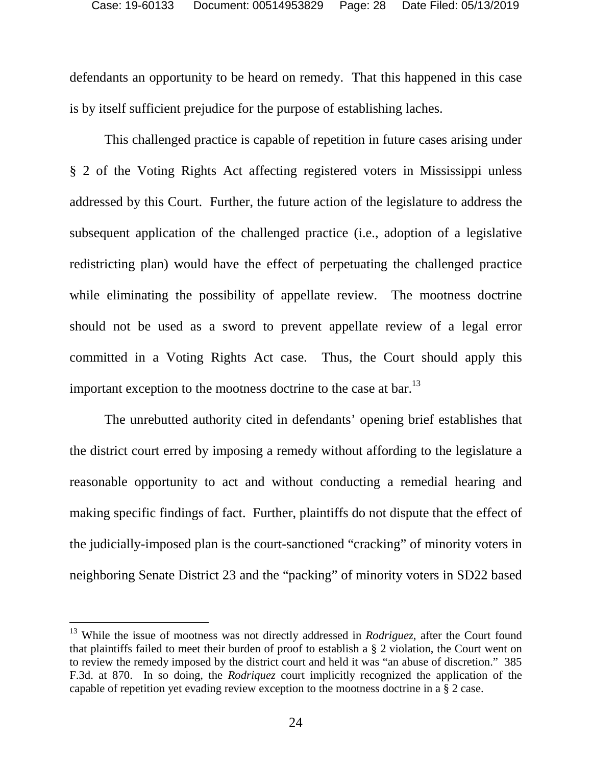defendants an opportunity to be heard on remedy. That this happened in this case is by itself sufficient prejudice for the purpose of establishing laches.

This challenged practice is capable of repetition in future cases arising under § 2 of the Voting Rights Act affecting registered voters in Mississippi unless addressed by this Court. Further, the future action of the legislature to address the subsequent application of the challenged practice (i.e., adoption of a legislative redistricting plan) would have the effect of perpetuating the challenged practice while eliminating the possibility of appellate review. The mootness doctrine should not be used as a sword to prevent appellate review of a legal error committed in a Voting Rights Act case. Thus, the Court should apply this important exception to the mootness doctrine to the case at bar.<sup>[13](#page-27-0)</sup>

The unrebutted authority cited in defendants' opening brief establishes that the district court erred by imposing a remedy without affording to the legislature a reasonable opportunity to act and without conducting a remedial hearing and making specific findings of fact. Further, plaintiffs do not dispute that the effect of the judicially-imposed plan is the court-sanctioned "cracking" of minority voters in neighboring Senate District 23 and the "packing" of minority voters in SD22 based

<span id="page-27-0"></span><sup>13</sup> While the issue of mootness was not directly addressed in *Rodriguez*, after the Court found that plaintiffs failed to meet their burden of proof to establish a § 2 violation, the Court went on to review the remedy imposed by the district court and held it was "an abuse of discretion." 385 F.3d. at 870. In so doing, the *Rodriquez* court implicitly recognized the application of the capable of repetition yet evading review exception to the mootness doctrine in a § 2 case.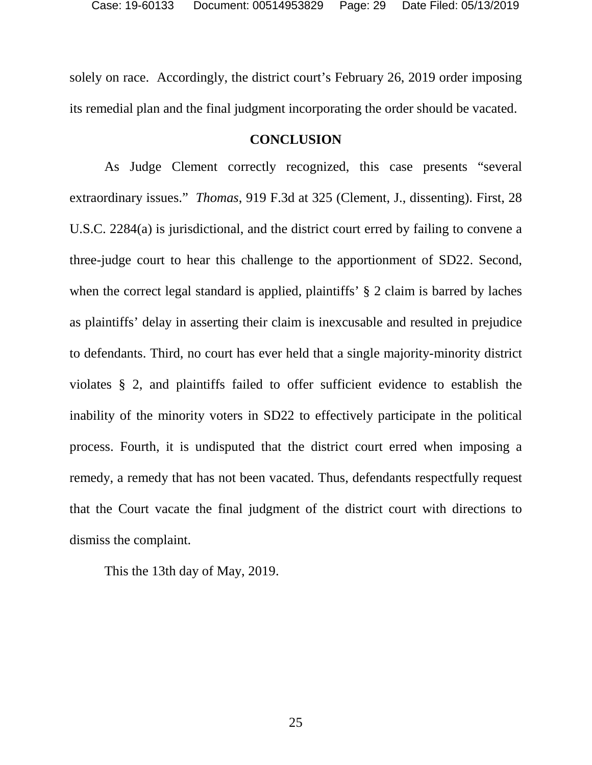solely on race. Accordingly, the district court's February 26, 2019 order imposing its remedial plan and the final judgment incorporating the order should be vacated.

### <span id="page-28-0"></span>**CONCLUSION**

As Judge Clement correctly recognized, this case presents "several extraordinary issues." *Thomas*, 919 F.3d at 325 (Clement, J., dissenting). First, 28 U.S.C. 2284(a) is jurisdictional, and the district court erred by failing to convene a three-judge court to hear this challenge to the apportionment of SD22. Second, when the correct legal standard is applied, plaintiffs' § 2 claim is barred by laches as plaintiffs' delay in asserting their claim is inexcusable and resulted in prejudice to defendants. Third, no court has ever held that a single majority-minority district violates § 2, and plaintiffs failed to offer sufficient evidence to establish the inability of the minority voters in SD22 to effectively participate in the political process. Fourth, it is undisputed that the district court erred when imposing a remedy, a remedy that has not been vacated. Thus, defendants respectfully request that the Court vacate the final judgment of the district court with directions to dismiss the complaint.

This the 13th day of May, 2019.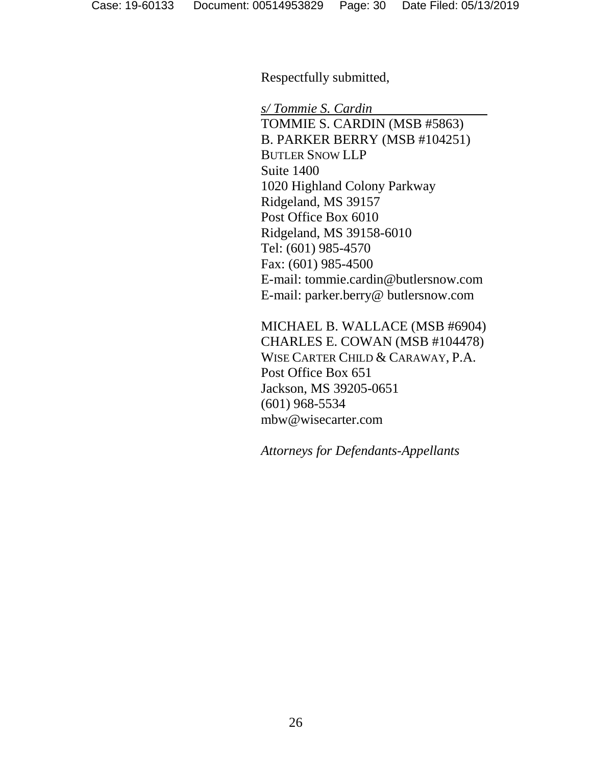Respectfully submitted,

*s/ Tommie S. Cardin* 

TOMMIE S. CARDIN (MSB #5863) B. PARKER BERRY (MSB #104251) BUTLER SNOW LLP Suite 1400 1020 Highland Colony Parkway Ridgeland, MS 39157 Post Office Box 6010 Ridgeland, MS 39158-6010 Tel: (601) 985-4570 Fax: (601) 985-4500 E-mail: tommie.cardin@butlersnow.com E-mail: parker.berry@ butlersnow.com

MICHAEL B. WALLACE (MSB #6904) CHARLES E. COWAN (MSB #104478) WISE CARTER CHILD & CARAWAY, P.A. Post Office Box 651 Jackson, MS 39205-0651 (601) 968-5534 mbw@wisecarter.com

*Attorneys for Defendants-Appellants*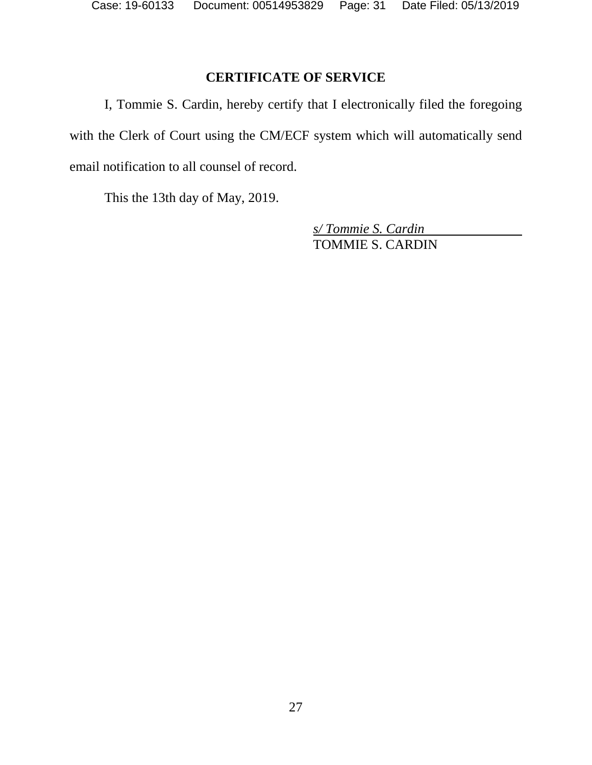# <span id="page-30-0"></span>**CERTIFICATE OF SERVICE**

I, Tommie S. Cardin, hereby certify that I electronically filed the foregoing with the Clerk of Court using the CM/ECF system which will automatically send email notification to all counsel of record.

This the 13th day of May, 2019.

*s/ Tommie S. Cardin*  TOMMIE S. CARDIN